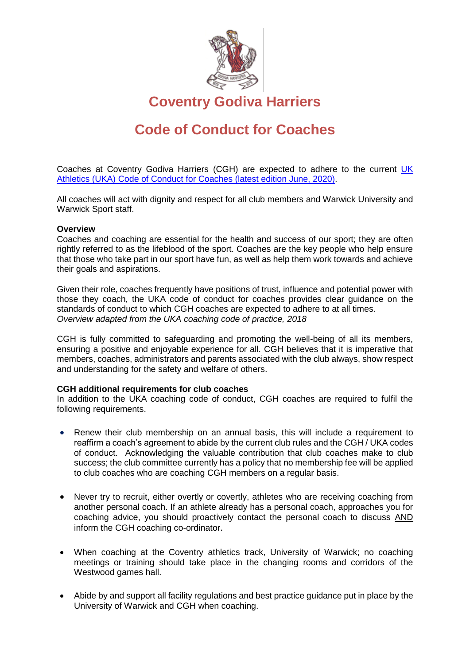

**Coventry Godiva Harriers**

## **Code of Conduct for Coaches**

Coaches at Coventry Godiva Harriers (CGH) are expected to adhere to the current [UK](https://www.uka.org.uk/EasysiteWeb/getresource.axd?AssetID=175758&type=Full&servicetype=Attachment) Athletics (UKA) [Code of Conduct for Coaches](https://www.uka.org.uk/EasysiteWeb/getresource.axd?AssetID=175758&type=Full&servicetype=Attachment) (latest edition June, 2020).

All coaches will act with dignity and respect for all club members and Warwick University and Warwick Sport staff.

## **Overview**

Coaches and coaching are essential for the health and success of our sport; they are often rightly referred to as the lifeblood of the sport. Coaches are the key people who help ensure that those who take part in our sport have fun, as well as help them work towards and achieve their goals and aspirations.

Given their role, coaches frequently have positions of trust, influence and potential power with those they coach, the UKA code of conduct for coaches provides clear guidance on the standards of conduct to which CGH coaches are expected to adhere to at all times. *Overview adapted from the UKA coaching code of practice, 2018*

CGH is fully committed to safeguarding and promoting the well-being of all its members, ensuring a positive and enjoyable experience for all. CGH believes that it is imperative that members, coaches, administrators and parents associated with the club always, show respect and understanding for the safety and welfare of others.

## **CGH additional requirements for club coaches**

In addition to the UKA coaching code of conduct, CGH coaches are required to fulfil the following requirements.

- Renew their club membership on an annual basis, this will include a requirement to reaffirm a coach's agreement to abide by the current club rules and the CGH / UKA codes of conduct. Acknowledging the valuable contribution that club coaches make to club success; the club committee currently has a policy that no membership fee will be applied to club coaches who are coaching CGH members on a regular basis.
- Never try to recruit, either overtly or covertly, athletes who are receiving coaching from another personal coach. If an athlete already has a personal coach, approaches you for coaching advice, you should proactively contact the personal coach to discuss AND inform the CGH coaching co-ordinator.
- When coaching at the Coventry athletics track, University of Warwick; no coaching meetings or training should take place in the changing rooms and corridors of the Westwood games hall.
- Abide by and support all facility regulations and best practice guidance put in place by the University of Warwick and CGH when coaching.